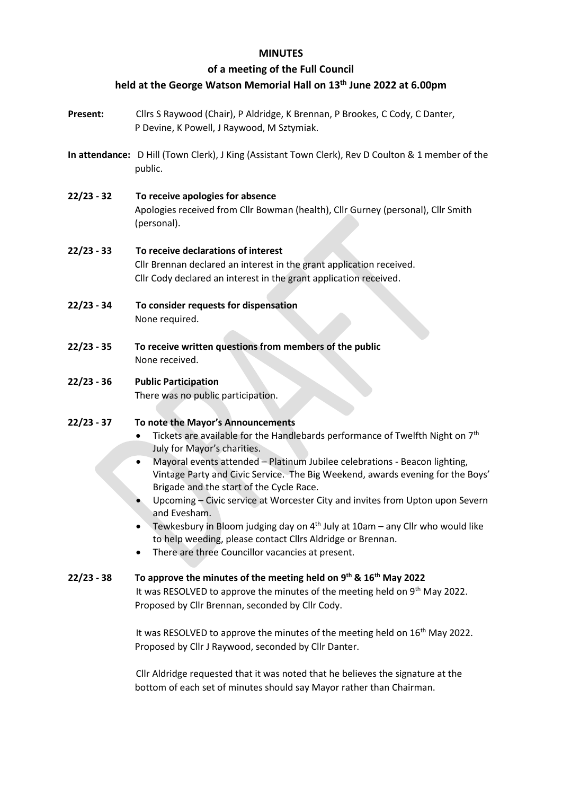# **MINUTES**

# **of a meeting of the Full Council**

# **held at the George Watson Memorial Hall on 13th June 2022 at 6.00pm**

- **Present:** Cllrs S Raywood (Chair), P Aldridge, K Brennan, P Brookes, C Cody, C Danter, P Devine, K Powell, J Raywood, M Sztymiak.
- **In attendance:** D Hill (Town Clerk), J King (Assistant Town Clerk), Rev D Coulton & 1 member of the public.
- **22/23 - 32 To receive apologies for absence** Apologies received from Cllr Bowman (health), Cllr Gurney (personal), Cllr Smith (personal).

### **22/23 - 33 To receive declarations of interest** Cllr Brennan declared an interest in the grant application received.

Cllr Cody declared an interest in the grant application received.

- **22/23 - 34 To consider requests for dispensation**  None required.
- **22/23 - 35 To receive written questions from members of the public** None received.

# **22/23 - 36 Public Participation**

There was no public participation.

# **22/23 - 37 To note the Mayor's Announcements**

- Tickets are available for the Handlebards performance of Twelfth Night on 7<sup>th</sup> July for Mayor's charities.
- Mayoral events attended Platinum Jubilee celebrations Beacon lighting, Vintage Party and Civic Service. The Big Weekend, awards evening for the Boys' Brigade and the start of the Cycle Race.
- Upcoming Civic service at Worcester City and invites from Upton upon Severn and Evesham.
- Tewkesbury in Bloom judging day on  $4<sup>th</sup>$  July at 10am any Cllr who would like to help weeding, please contact Cllrs Aldridge or Brennan.
- There are three Councillor vacancies at present.

# **22/23 - 38 To approve the minutes of the meeting held on 9th & 16th May 2022**

It was RESOLVED to approve the minutes of the meeting held on 9<sup>th</sup> May 2022. Proposed by Cllr Brennan, seconded by Cllr Cody.

It was RESOLVED to approve the minutes of the meeting held on 16<sup>th</sup> May 2022. Proposed by Cllr J Raywood, seconded by Cllr Danter.

Cllr Aldridge requested that it was noted that he believes the signature at the bottom of each set of minutes should say Mayor rather than Chairman.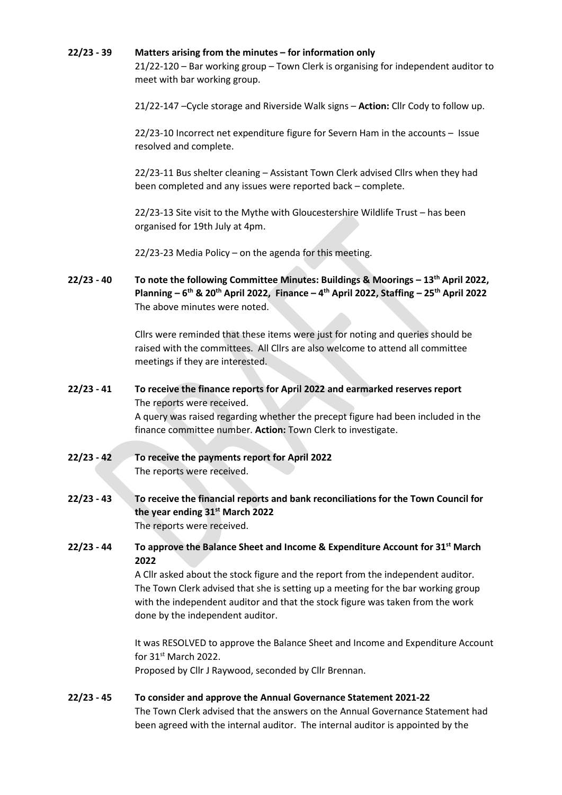#### **22/23 - 39 Matters arising from the minutes – for information only**

21/22-120 – Bar working group – Town Clerk is organising for independent auditor to meet with bar working group.

21/22-147 –Cycle storage and Riverside Walk signs – **Action:** Cllr Cody to follow up.

22/23-10 Incorrect net expenditure figure for Severn Ham in the accounts – Issue resolved and complete.

22/23-11 Bus shelter cleaning – Assistant Town Clerk advised Cllrs when they had been completed and any issues were reported back – complete.

22/23-13 Site visit to the Mythe with Gloucestershire Wildlife Trust – has been organised for 19th July at 4pm.

22/23-23 Media Policy – on the agenda for this meeting.

**22/23 - 40 To note the following Committee Minutes: Buildings & Moorings – 13th April 2022, Planning – 6th & 20th April 2022, Finance – 4th April 2022, Staffing – 25th April 2022** The above minutes were noted.

> Cllrs were reminded that these items were just for noting and queries should be raised with the committees. All Cllrs are also welcome to attend all committee meetings if they are interested.

# **22/23 - 41 To receive the finance reports for April 2022 and earmarked reserves report** The reports were received.

A query was raised regarding whether the precept figure had been included in the finance committee number. **Action:** Town Clerk to investigate.

- **22/23 - 42 To receive the payments report for April 2022** The reports were received.
- **22/23 - 43 To receive the financial reports and bank reconciliations for the Town Council for the year ending 31st March 2022** The reports were received.
- **22/23 - 44 To approve the Balance Sheet and Income & Expenditure Account for 31st March 2022**

A Cllr asked about the stock figure and the report from the independent auditor. The Town Clerk advised that she is setting up a meeting for the bar working group with the independent auditor and that the stock figure was taken from the work done by the independent auditor.

It was RESOLVED to approve the Balance Sheet and Income and Expenditure Account for 31st March 2022. Proposed by Cllr J Raywood, seconded by Cllr Brennan.

# **22/23 - 45 To consider and approve the Annual Governance Statement 2021-22**

The Town Clerk advised that the answers on the Annual Governance Statement had been agreed with the internal auditor. The internal auditor is appointed by the